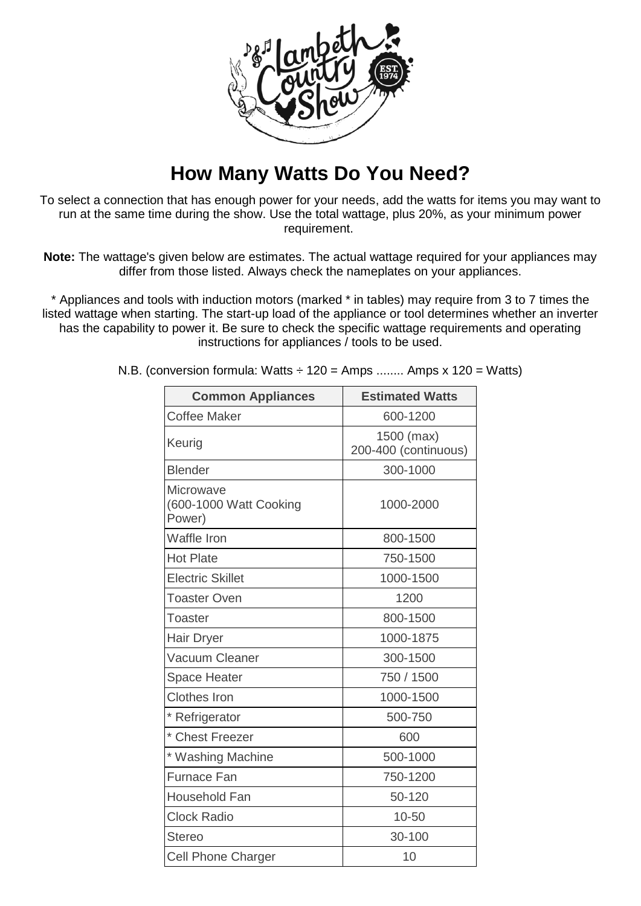

## **How Many Watts Do You Need?**

To select a connection that has enough power for your needs, add the watts for items you may want to run at the same time during the show. Use the total wattage, plus 20%, as your minimum power requirement.

**Note:** The wattage's given below are estimates. The actual wattage required for your appliances may differ from those listed. Always check the nameplates on your appliances.

\* Appliances and tools with induction motors (marked \* in tables) may require from 3 to 7 times the listed wattage when starting. The start-up load of the appliance or tool determines whether an inverter has the capability to power it. Be sure to check the specific wattage requirements and operating instructions for appliances / tools to be used.

| <b>Common Appliances</b>                      | <b>Estimated Watts</b>             |
|-----------------------------------------------|------------------------------------|
| <b>Coffee Maker</b>                           | 600-1200                           |
| Keurig                                        | 1500 (max)<br>200-400 (continuous) |
| <b>Blender</b>                                | 300-1000                           |
| Microwave<br>(600-1000 Watt Cooking<br>Power) | 1000-2000                          |
| <b>Waffle Iron</b>                            | 800-1500                           |
| <b>Hot Plate</b>                              | 750-1500                           |
| <b>Electric Skillet</b>                       | 1000-1500                          |
| <b>Toaster Oven</b>                           | 1200                               |
| <b>Toaster</b>                                | 800-1500                           |
| Hair Dryer                                    | 1000-1875                          |
| Vacuum Cleaner                                | 300-1500                           |
| <b>Space Heater</b>                           | 750 / 1500                         |
| <b>Clothes Iron</b>                           | 1000-1500                          |
| * Refrigerator                                | 500-750                            |
| * Chest Freezer                               | 600                                |
| * Washing Machine                             | 500-1000                           |
| <b>Furnace Fan</b>                            | 750-1200                           |
| <b>Household Fan</b>                          | 50-120                             |
| <b>Clock Radio</b>                            | $10 - 50$                          |
| <b>Stereo</b>                                 | 30-100                             |
| <b>Cell Phone Charger</b>                     | 10                                 |

N.B. (conversion formula: Watts  $\div$  120 = Amps ........ Amps x 120 = Watts)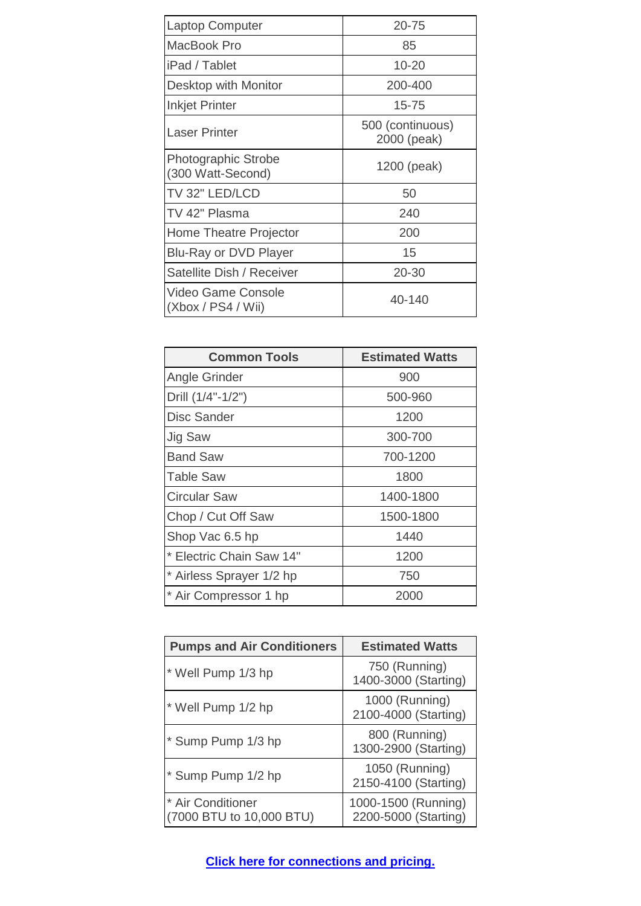| <b>Laptop Computer</b>                          | $20 - 75$                       |
|-------------------------------------------------|---------------------------------|
| MacBook Pro                                     | 85                              |
| iPad / Tablet                                   | $10 - 20$                       |
| Desktop with Monitor                            | 200-400                         |
| <b>Inkjet Printer</b>                           | $15 - 75$                       |
| Laser Printer                                   | 500 (continuous)<br>2000 (peak) |
| <b>Photographic Strobe</b><br>(300 Watt-Second) | 1200 (peak)                     |
| TV 32" LED/LCD                                  | 50                              |
| TV 42" Plasma                                   | 240                             |
| Home Theatre Projector                          | 200                             |
| <b>Blu-Ray or DVD Player</b>                    | 15                              |
| Satellite Dish / Receiver                       | 20-30                           |
| Video Game Console<br>(Xbox / PS4 / Wi)         | 40-140                          |

| <b>Common Tools</b>      | <b>Estimated Watts</b> |
|--------------------------|------------------------|
| Angle Grinder            | 900                    |
| Drill (1/4"-1/2")        | 500-960                |
| <b>Disc Sander</b>       | 1200                   |
| Jig Saw                  | 300-700                |
| <b>Band Saw</b>          | 700-1200               |
| Table Saw                | 1800                   |
| <b>Circular Saw</b>      | 1400-1800              |
| Chop / Cut Off Saw       | 1500-1800              |
| Shop Vac 6.5 hp          | 1440                   |
| * Electric Chain Saw 14" | 1200                   |
| * Airless Sprayer 1/2 hp | 750                    |
| * Air Compressor 1 hp    | 2000                   |

| <b>Pumps and Air Conditioners</b>             | <b>Estimated Watts</b>                      |
|-----------------------------------------------|---------------------------------------------|
| * Well Pump 1/3 hp                            | 750 (Running)<br>1400-3000 (Starting)       |
| * Well Pump 1/2 hp                            | 1000 (Running)<br>2100-4000 (Starting)      |
| * Sump Pump 1/3 hp                            | 800 (Running)<br>1300-2900 (Starting)       |
| * Sump Pump 1/2 hp                            | 1050 (Running)<br>2150-4100 (Starting)      |
| * Air Conditioner<br>(7000 BTU to 10,000 BTU) | 1000-1500 (Running)<br>2200-5000 (Starting) |

**[Click here for connections](http://lambethcountryshow.co.uk/wp-content/uploads/2016/01/LCS-2016-power-connections-and-pricing.pdf) and pricing.**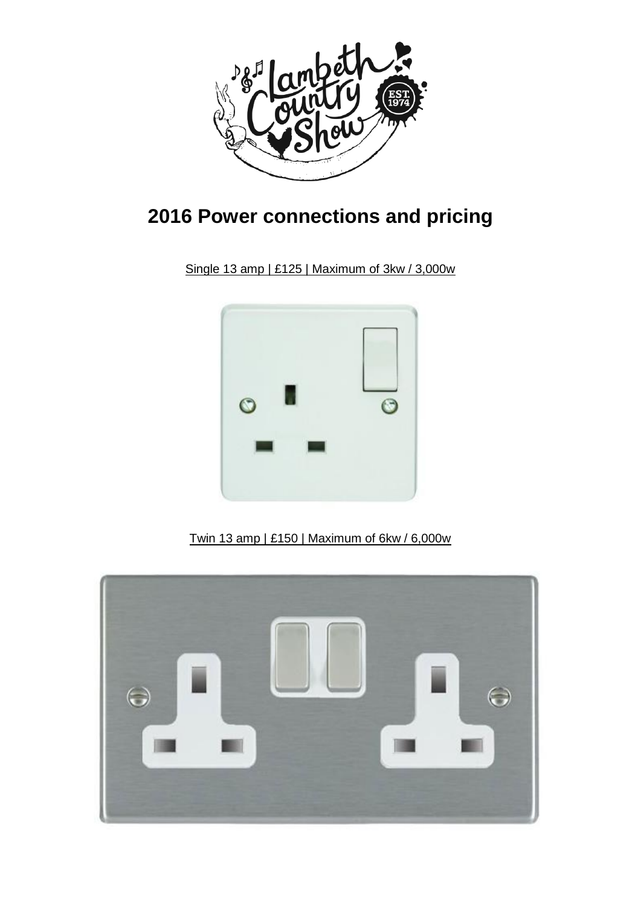

## **2016 Power connections and pricing**

Single 13 amp | £125 | Maximum of 3kw / 3,000w



Twin 13 amp | £150 | Maximum of 6kw / 6,000w

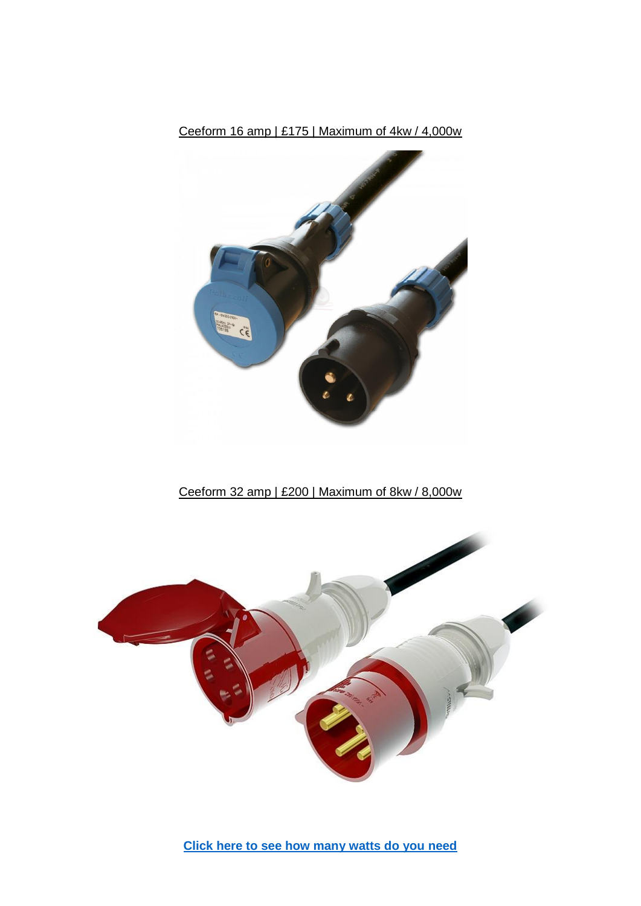

Ceeform 16 amp | £175 | Maximum of 4kw / 4,000w

Ceeform 32 amp | £200 | Maximum of 8kw / 8,000w